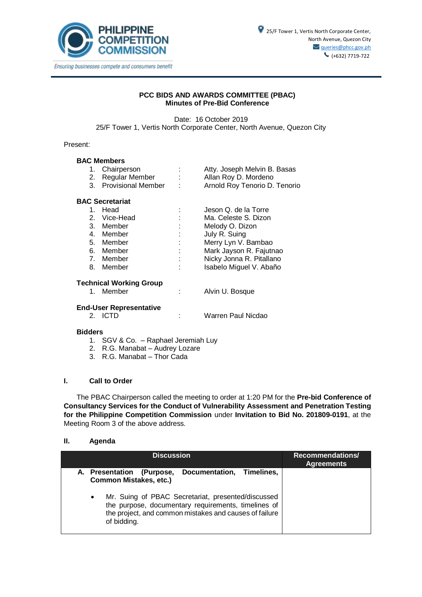

## **PCC BIDS AND AWARDS COMMITTEE (PBAC) Minutes of Pre-Bid Conference**

Date: 16 October 2019 25/F Tower 1, Vertis North Corporate Center, North Avenue, Quezon City

### Present:

## **BAC Members**

| 1. Chairperson        | ٠                 | Atty. Joseph Melvin B. Basas  |
|-----------------------|-------------------|-------------------------------|
| 2. Regular Member     | ٠<br>$\mathbf{r}$ | Allan Roy D. Mordeno          |
| 3. Provisional Member | ÷                 | Arnold Roy Tenorio D. Tenorio |

### **BAC Secretariat**

| $1_{-}$ | Head         |    | Jeson Q. de la Torre     |
|---------|--------------|----|--------------------------|
|         | 2. Vice-Head | t  | Ma. Celeste S. Dizon     |
|         | 3. Member    | t. | Melody O. Dizon          |
|         | 4. Member    | ÷  | July R. Suing            |
|         | 5. Member    | ÷. | Merry Lyn V. Bambao      |
|         | 6. Member    | ÷  | Mark Jayson R. Fajutnao  |
|         | 7. Member    | ÷  | Nicky Jonna R. Pitallano |
|         | 8. Member    | t. | Isabelo Miguel V. Abaño  |
|         |              |    |                          |

# **Technical Working Group**<br>1. Member

: Alvin U. Bosque

# **End-User Representative**

: Warren Paul Nicdao

### **Bidders**

- 1. SGV & Co. Raphael Jeremiah Luy
- 2. R.G. Manabat Audrey Lozare
- 3. R.G. Manabat Thor Cada

### **I. Call to Order**

The PBAC Chairperson called the meeting to order at 1:20 PM for the **Pre-bid Conference of Consultancy Services for the Conduct of Vulnerability Assessment and Penetration Testing for the Philippine Competition Commission** under **Invitation to Bid No. 201809-0191**, at the Meeting Room 3 of the above address.

### **II. Agenda**

| <b>Discussion</b>                                                                                                                                                                                                                                                                             | <b>Recommendations/</b><br><b>Agreements</b> |
|-----------------------------------------------------------------------------------------------------------------------------------------------------------------------------------------------------------------------------------------------------------------------------------------------|----------------------------------------------|
| Documentation, Timelines,<br>A. Presentation<br>(Purpose,<br><b>Common Mistakes, etc.)</b><br>Mr. Suing of PBAC Secretariat, presented/discussed<br>$\bullet$<br>the purpose, documentary requirements, timelines of<br>the project, and common mistakes and causes of failure<br>of bidding. |                                              |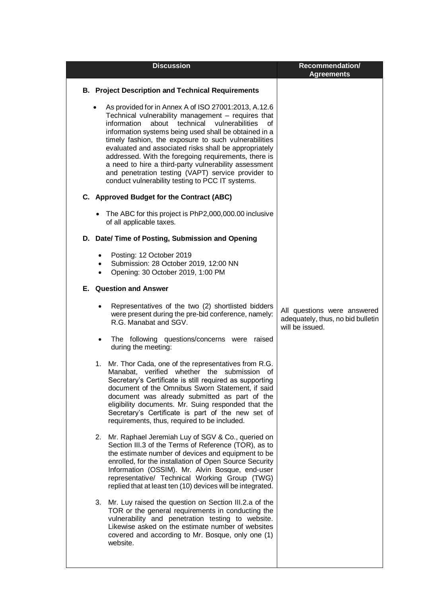|                                     | <b>Discussion</b>                                                                                                                                                                                                                                                                                                                                                                                                                                                                                                                                                          | <b>Recommendation/</b><br><b>Agreements</b>                                         |
|-------------------------------------|----------------------------------------------------------------------------------------------------------------------------------------------------------------------------------------------------------------------------------------------------------------------------------------------------------------------------------------------------------------------------------------------------------------------------------------------------------------------------------------------------------------------------------------------------------------------------|-------------------------------------------------------------------------------------|
|                                     | <b>B. Project Description and Technical Requirements</b>                                                                                                                                                                                                                                                                                                                                                                                                                                                                                                                   |                                                                                     |
|                                     | As provided for in Annex A of ISO 27001:2013, A.12.6<br>Technical vulnerability management - requires that<br>about technical<br>information<br>vulnerabilities<br>Ωf<br>information systems being used shall be obtained in a<br>timely fashion, the exposure to such vulnerabilities<br>evaluated and associated risks shall be appropriately<br>addressed. With the foregoing requirements, there is<br>a need to hire a third-party vulnerability assessment<br>and penetration testing (VAPT) service provider to<br>conduct vulnerability testing to PCC IT systems. |                                                                                     |
|                                     | C. Approved Budget for the Contract (ABC)                                                                                                                                                                                                                                                                                                                                                                                                                                                                                                                                  |                                                                                     |
|                                     | • The ABC for this project is PhP2,000,000.00 inclusive<br>of all applicable taxes.                                                                                                                                                                                                                                                                                                                                                                                                                                                                                        |                                                                                     |
|                                     | D. Date/ Time of Posting, Submission and Opening                                                                                                                                                                                                                                                                                                                                                                                                                                                                                                                           |                                                                                     |
| $\bullet$<br>$\bullet$<br>$\bullet$ | Posting: 12 October 2019<br>Submission: 28 October 2019, 12:00 NN<br>Opening: 30 October 2019, 1:00 PM                                                                                                                                                                                                                                                                                                                                                                                                                                                                     |                                                                                     |
|                                     | <b>E.</b> Question and Answer                                                                                                                                                                                                                                                                                                                                                                                                                                                                                                                                              |                                                                                     |
| $\bullet$                           | Representatives of the two (2) shortlisted bidders<br>were present during the pre-bid conference, namely:<br>R.G. Manabat and SGV.                                                                                                                                                                                                                                                                                                                                                                                                                                         | All questions were answered<br>adequately, thus, no bid bulletin<br>will be issued. |
| ٠                                   | The following questions/concerns were<br>raised<br>during the meeting:                                                                                                                                                                                                                                                                                                                                                                                                                                                                                                     |                                                                                     |
| 1.                                  | Mr. Thor Cada, one of the representatives from R.G.<br>verified whether the submission<br>Manabat,<br>0f<br>Secretary's Certificate is still required as supporting<br>document of the Omnibus Sworn Statement, if said<br>document was already submitted as part of the<br>eligibility documents. Mr. Suing responded that the<br>Secretary's Certificate is part of the new set of<br>requirements, thus, required to be included.                                                                                                                                       |                                                                                     |
| 2.                                  | Mr. Raphael Jeremiah Luy of SGV & Co., queried on<br>Section III.3 of the Terms of Reference (TOR), as to<br>the estimate number of devices and equipment to be<br>enrolled, for the installation of Open Source Security<br>Information (OSSIM). Mr. Alvin Bosque, end-user<br>representative/ Technical Working Group (TWG)<br>replied that at least ten (10) devices will be integrated.                                                                                                                                                                                |                                                                                     |
| 3.                                  | Mr. Luy raised the question on Section III.2.a of the<br>TOR or the general requirements in conducting the<br>vulnerability and penetration testing to website.<br>Likewise asked on the estimate number of websites<br>covered and according to Mr. Bosque, only one (1)<br>website.                                                                                                                                                                                                                                                                                      |                                                                                     |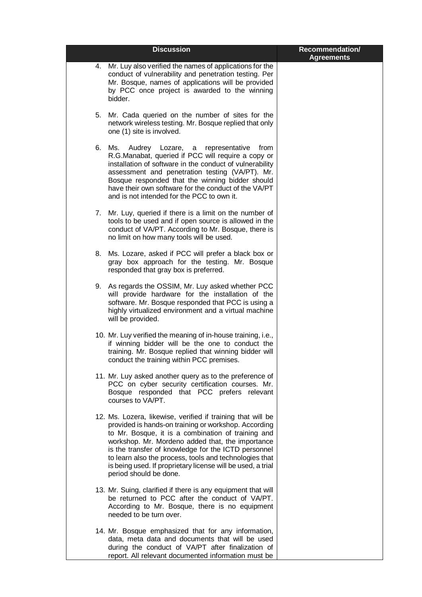|    | <b>Discussion</b>                                                                                                                                                                                                                                                                                                                                                                                                                       | Recommendation/<br><b>Agreements</b> |
|----|-----------------------------------------------------------------------------------------------------------------------------------------------------------------------------------------------------------------------------------------------------------------------------------------------------------------------------------------------------------------------------------------------------------------------------------------|--------------------------------------|
| 4. | Mr. Luy also verified the names of applications for the<br>conduct of vulnerability and penetration testing. Per<br>Mr. Bosque, names of applications will be provided<br>by PCC once project is awarded to the winning<br>bidder.                                                                                                                                                                                                      |                                      |
| 5. | Mr. Cada queried on the number of sites for the<br>network wireless testing. Mr. Bosque replied that only<br>one (1) site is involved.                                                                                                                                                                                                                                                                                                  |                                      |
|    | 6. Ms.<br>Audrey Lozare, a representative<br>from<br>R.G.Manabat, queried if PCC will require a copy or<br>installation of software in the conduct of vulnerability<br>assessment and penetration testing (VA/PT). Mr.<br>Bosque responded that the winning bidder should<br>have their own software for the conduct of the VA/PT<br>and is not intended for the PCC to own it.                                                         |                                      |
|    | 7. Mr. Luy, queried if there is a limit on the number of<br>tools to be used and if open source is allowed in the<br>conduct of VA/PT. According to Mr. Bosque, there is<br>no limit on how many tools will be used.                                                                                                                                                                                                                    |                                      |
|    | 8. Ms. Lozare, asked if PCC will prefer a black box or<br>gray box approach for the testing. Mr. Bosque<br>responded that gray box is preferred.                                                                                                                                                                                                                                                                                        |                                      |
|    | 9. As regards the OSSIM, Mr. Luy asked whether PCC<br>will provide hardware for the installation of the<br>software. Mr. Bosque responded that PCC is using a<br>highly virtualized environment and a virtual machine<br>will be provided.                                                                                                                                                                                              |                                      |
|    | 10. Mr. Luy verified the meaning of in-house training, i.e.,<br>if winning bidder will be the one to conduct the<br>training. Mr. Bosque replied that winning bidder will<br>conduct the training within PCC premises.                                                                                                                                                                                                                  |                                      |
|    | 11. Mr. Luy asked another query as to the preference of<br>PCC on cyber security certification courses. Mr.<br>Bosque responded that PCC prefers relevant<br>courses to VA/PT.                                                                                                                                                                                                                                                          |                                      |
|    | 12. Ms. Lozera, likewise, verified if training that will be<br>provided is hands-on training or workshop. According<br>to Mr. Bosque, it is a combination of training and<br>workshop. Mr. Mordeno added that, the importance<br>is the transfer of knowledge for the ICTD personnel<br>to learn also the process, tools and technologies that<br>is being used. If proprietary license will be used, a trial<br>period should be done. |                                      |
|    | 13. Mr. Suing, clarified if there is any equipment that will<br>be returned to PCC after the conduct of VA/PT.<br>According to Mr. Bosque, there is no equipment<br>needed to be turn over.                                                                                                                                                                                                                                             |                                      |
|    | 14. Mr. Bosque emphasized that for any information,<br>data, meta data and documents that will be used<br>during the conduct of VA/PT after finalization of<br>report. All relevant documented information must be                                                                                                                                                                                                                      |                                      |